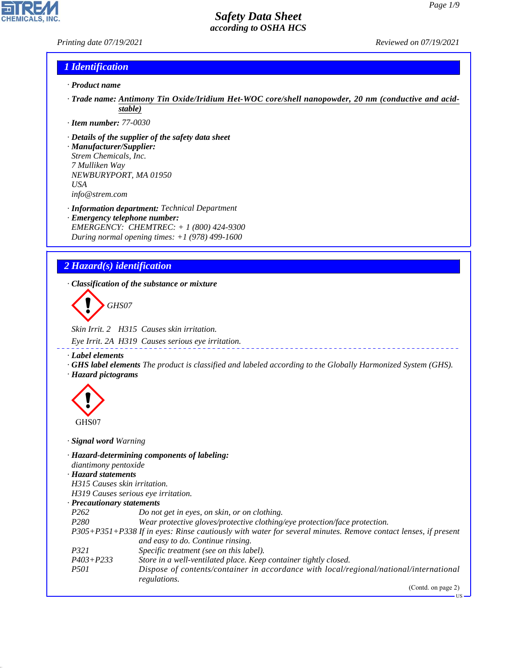US

# *Safety Data Sheet according to OSHA HCS*

*Printing date 07/19/2021 Reviewed on 07/19/2021*

**CHEMICALS, INC** 

# *1 Identification*

- *· Product name*
- *· Trade name: Antimony Tin Oxide/Iridium Het-WOC core/shell nanopowder, 20 nm (conductive and acidstable)*
- *· Item number: 77-0030*
- *· Details of the supplier of the safety data sheet · Manufacturer/Supplier: Strem Chemicals, Inc.*
- *7 Mulliken Way NEWBURYPORT, MA 01950 USA info@strem.com*
- *· Information department: Technical Department · Emergency telephone number: EMERGENCY: CHEMTREC: + 1 (800) 424-9300 During normal opening times: +1 (978) 499-1600*
- *2 Hazard(s) identification*
- *· Classification of the substance or mixture*

d~*GHS07*

*Skin Irrit. 2 H315 Causes skin irritation. Eye Irrit. 2A H319 Causes serious eye irritation.*

*· Label elements*

*· GHS label elements The product is classified and labeled according to the Globally Harmonized System (GHS). · Hazard pictograms*



44.1.1

*· Signal word Warning*

| diantimony pentoxide             | · Hazard-determining components of labeling:                                                                                                       |
|----------------------------------|----------------------------------------------------------------------------------------------------------------------------------------------------|
| · Hazard statements              |                                                                                                                                                    |
| H315 Causes skin irritation.     |                                                                                                                                                    |
|                                  | H319 Causes serious eye irritation.                                                                                                                |
| $\cdot$ Precautionary statements |                                                                                                                                                    |
| P <sub>262</sub>                 | Do not get in eyes, on skin, or on clothing.                                                                                                       |
| P <sub>280</sub>                 | Wear protective gloves/protective clothing/eye protection/face protection.                                                                         |
|                                  | P305+P351+P338 If in eyes: Rinse cautiously with water for several minutes. Remove contact lenses, if present<br>and easy to do. Continue rinsing. |
| <i>P321</i>                      | Specific treatment (see on this label).                                                                                                            |
| $P403 + P233$                    | Store in a well-ventilated place. Keep container tightly closed.                                                                                   |
| <i>P501</i>                      | Dispose of contents/container in accordance with local/regional/national/international<br>regulations.                                             |
|                                  | (Contd. on page 2)                                                                                                                                 |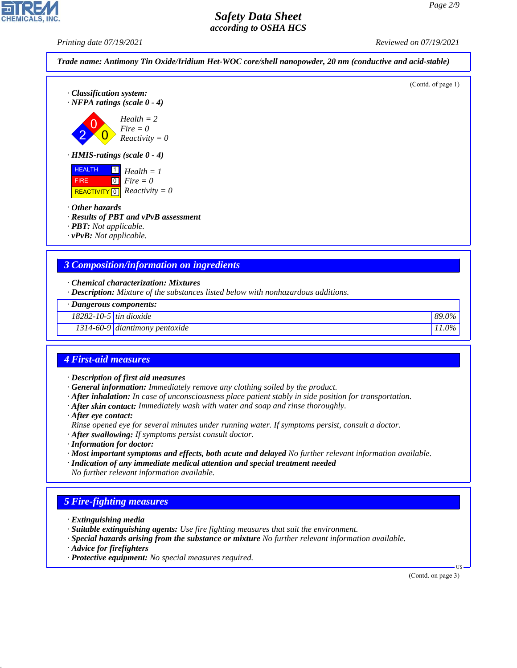*Printing date 07/19/2021 Reviewed on 07/19/2021*



| · Description: Mixture of the substances listed below with nonhazardous additions. |  |
|------------------------------------------------------------------------------------|--|
|------------------------------------------------------------------------------------|--|

|  | · Dangerous components: |
|--|-------------------------|
|  |                         |

| 18282-10-5                 | ı dıoxıde                                 | 0%                        |
|----------------------------|-------------------------------------------|---------------------------|
| $-1$                       | $1$ tin                                   | 89.0                      |
| $\sim$<br>$1.314 - 60 - 9$ | $\mathbf{r}$<br>pentoxide<br>  diantimony | 9%<br>$\cdot \cdot \cdot$ |

### *4 First-aid measures*

- *· Description of first aid measures*
- *· General information: Immediately remove any clothing soiled by the product.*
- *· After inhalation: In case of unconsciousness place patient stably in side position for transportation.*
- *· After skin contact: Immediately wash with water and soap and rinse thoroughly.*
- *· After eye contact:*
- *Rinse opened eye for several minutes under running water. If symptoms persist, consult a doctor.*
- *· After swallowing: If symptoms persist consult doctor.*
- *· Information for doctor:*
- *· Most important symptoms and effects, both acute and delayed No further relevant information available.*
- *· Indication of any immediate medical attention and special treatment needed No further relevant information available.*

# *5 Fire-fighting measures*

- *· Extinguishing media*
- *· Suitable extinguishing agents: Use fire fighting measures that suit the environment.*
- *· Special hazards arising from the substance or mixture No further relevant information available.*
- *· Advice for firefighters*

44.1.1

*· Protective equipment: No special measures required.*

(Contd. on page 3)

US

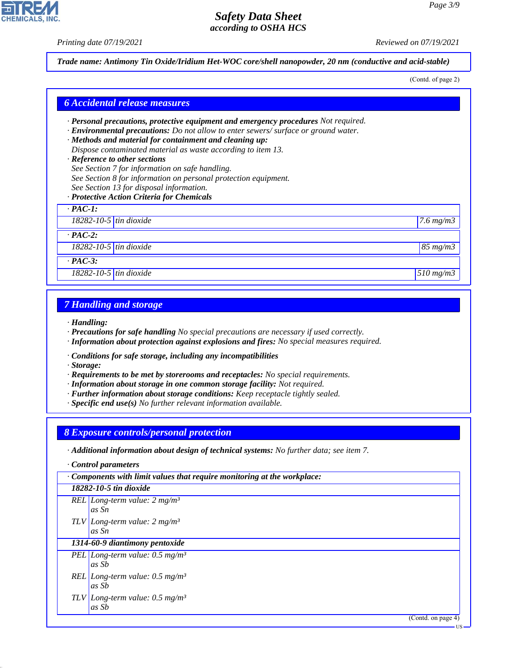*Printing date 07/19/2021 Reviewed on 07/19/2021*

**CHEMICALS, INC** 

*Trade name: Antimony Tin Oxide/Iridium Het-WOC core/shell nanopowder, 20 nm (conductive and acid-stable)*

(Contd. of page 2)

| <b>6 Accidental release measures</b>                                                                                                                                                                                                                                                                                                                                                                                                                                                                                                                         |                    |
|--------------------------------------------------------------------------------------------------------------------------------------------------------------------------------------------------------------------------------------------------------------------------------------------------------------------------------------------------------------------------------------------------------------------------------------------------------------------------------------------------------------------------------------------------------------|--------------------|
| $\cdot$ Personal precautions, protective equipment and emergency procedures Not required.<br>· Environmental precautions: Do not allow to enter sewers/ surface or ground water.<br>· Methods and material for containment and cleaning up:<br>Dispose contaminated material as waste according to item 13.<br>· Reference to other sections<br>See Section 7 for information on safe handling.<br>See Section 8 for information on personal protection equipment.<br>See Section 13 for disposal information.<br>· Protective Action Criteria for Chemicals |                    |
| $\cdot$ PAC-1:                                                                                                                                                                                                                                                                                                                                                                                                                                                                                                                                               |                    |
| 18282-10-5 $\frac{1}{10}$ tin dioxide                                                                                                                                                                                                                                                                                                                                                                                                                                                                                                                        | $7.6 \text{ mg/m}$ |
| $\cdot$ PAC-2:                                                                                                                                                                                                                                                                                                                                                                                                                                                                                                                                               |                    |
| $\overline{18282-10-5}$ tin dioxide                                                                                                                                                                                                                                                                                                                                                                                                                                                                                                                          | $85 \, mg/m3$      |
| $\cdot$ PAC-3:                                                                                                                                                                                                                                                                                                                                                                                                                                                                                                                                               |                    |
| 18282-10-5 $\frac{1}{10}$ tin dioxide                                                                                                                                                                                                                                                                                                                                                                                                                                                                                                                        | 510 mg/m3          |

## *7 Handling and storage*

*· Handling:*

- *· Precautions for safe handling No special precautions are necessary if used correctly.*
- *· Information about protection against explosions and fires: No special measures required.*
- *· Conditions for safe storage, including any incompatibilities*
- *· Storage:*
- *· Requirements to be met by storerooms and receptacles: No special requirements.*
- *· Information about storage in one common storage facility: Not required.*
- *· Further information about storage conditions: Keep receptacle tightly sealed.*
- *· Specific end use(s) No further relevant information available.*

### *8 Exposure controls/personal protection*

*· Additional information about design of technical systems: No further data; see item 7.*

*· Control parameters*

44.1.1

| $\cdot$ Components with limit values that require monitoring at the workplace: |
|--------------------------------------------------------------------------------|
| 18282-10-5 tin dioxide                                                         |
| REL Long-term value: $2 mg/m3$<br>as Sn                                        |
| TLV Long-term value: $2 mg/m3$<br>as Sn                                        |
| 1314-60-9 diantimony pentoxide                                                 |
| PEL Long-term value: $0.5$ mg/m <sup>3</sup><br>as Sb                          |
| REL Long-term value: $0.5 \text{ mg/m}^3$<br>as Sb                             |
| TLV Long-term value: $0.5 \text{ mg/m}^3$<br>as Sb                             |
| (Contd. on page 4)                                                             |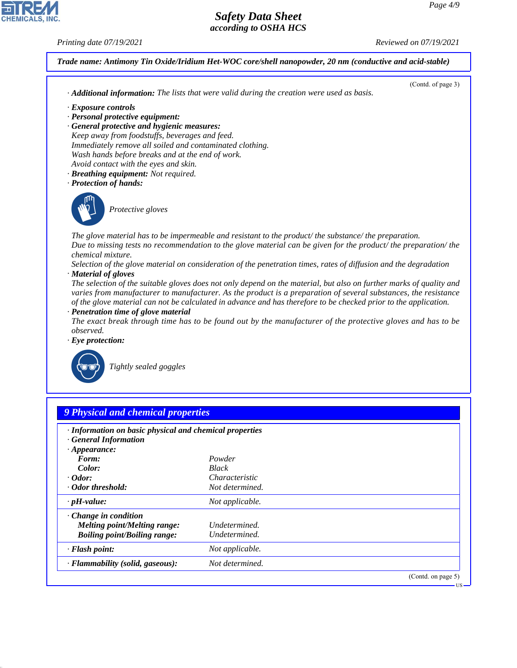44.1.1

*Printing date 07/19/2021 Reviewed on 07/19/2021*



*· Flammability (solid, gaseous): Not determined.*

(Contd. on page 5)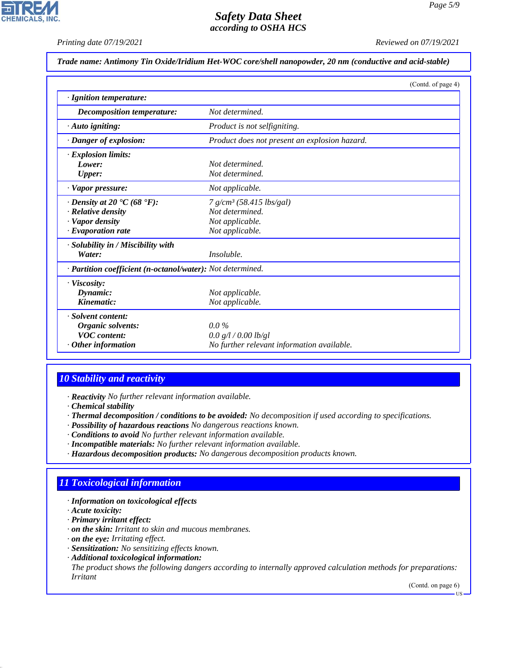# **CHEMICALS, INC**

# *Safety Data Sheet according to OSHA HCS*

*Printing date 07/19/2021 Reviewed on 07/19/2021*

# *Trade name: Antimony Tin Oxide/Iridium Het-WOC core/shell nanopowder, 20 nm (conductive and acid-stable)*

|                                                             | (Contd. of page 4)                            |  |
|-------------------------------------------------------------|-----------------------------------------------|--|
| · Ignition temperature:                                     |                                               |  |
| Decomposition temperature:                                  | Not determined.                               |  |
| $\cdot$ Auto igniting:                                      | Product is not selfigniting.                  |  |
| · Danger of explosion:                                      | Product does not present an explosion hazard. |  |
| · Explosion limits:                                         |                                               |  |
| Lower:                                                      | Not determined.                               |  |
| Upper:                                                      | Not determined.                               |  |
| · Vapor pressure:                                           | Not applicable.                               |  |
| $\cdot$ Density at 20 $\textdegree$ C (68 $\textdegree$ F): | 7 g/cm <sup>3</sup> (58.415 lbs/gal)          |  |
| $\cdot$ Relative density                                    | Not determined.                               |  |
| · Vapor density                                             | Not applicable.                               |  |
| $\cdot$ Evaporation rate                                    | Not applicable.                               |  |
| · Solubility in / Miscibility with                          |                                               |  |
| Water:                                                      | <i>Insoluble.</i>                             |  |
| · Partition coefficient (n-octanol/water): Not determined.  |                                               |  |
| · Viscosity:                                                |                                               |  |
| Dynamic:                                                    | Not applicable.                               |  |
| Kinematic:                                                  | Not applicable.                               |  |
| · Solvent content:                                          |                                               |  |
| Organic solvents:                                           | $0.0\%$                                       |  |
| <b>VOC</b> content:                                         | 0.0 g/l / 0.00 lb/gl                          |  |
| $\cdot$ Other information                                   | No further relevant information available.    |  |

# *10 Stability and reactivity*

*· Reactivity No further relevant information available.*

*· Chemical stability*

- *· Thermal decomposition / conditions to be avoided: No decomposition if used according to specifications.*
- *· Possibility of hazardous reactions No dangerous reactions known.*
- *· Conditions to avoid No further relevant information available.*
- *· Incompatible materials: No further relevant information available.*
- *· Hazardous decomposition products: No dangerous decomposition products known.*

# *11 Toxicological information*

# *· Information on toxicological effects*

*· Acute toxicity:*

44.1.1

- *· Primary irritant effect:*
- *· on the skin: Irritant to skin and mucous membranes.*
- *· on the eye: Irritating effect.*
- *· Sensitization: No sensitizing effects known.*
- *· Additional toxicological information:*
- *The product shows the following dangers according to internally approved calculation methods for preparations: Irritant*

(Contd. on page 6)

US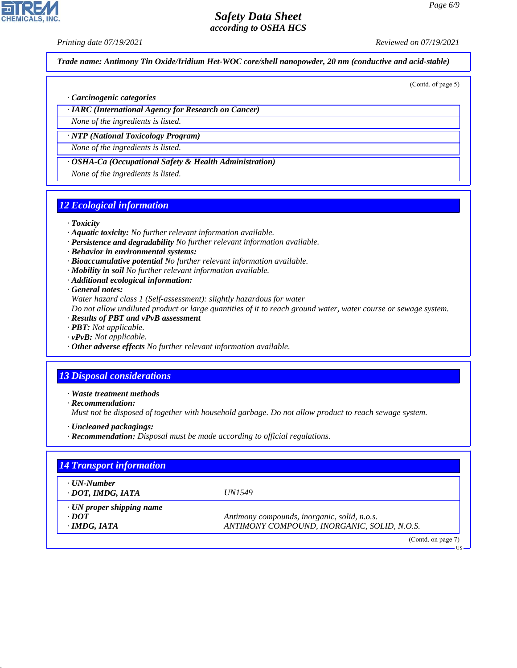# *Printing date 07/19/2021 Reviewed on 07/19/2021*

**CHEMICALS, INC** 

*Trade name: Antimony Tin Oxide/Iridium Het-WOC core/shell nanopowder, 20 nm (conductive and acid-stable)*

(Contd. of page 5)

#### *· Carcinogenic categories*

*· IARC (International Agency for Research on Cancer)*

*None of the ingredients is listed.*

*· NTP (National Toxicology Program) None of the ingredients is listed.*

*· OSHA-Ca (Occupational Safety & Health Administration)*

*None of the ingredients is listed.*

## *12 Ecological information*

#### *· Toxicity*

- *· Aquatic toxicity: No further relevant information available.*
- *· Persistence and degradability No further relevant information available.*
- *· Behavior in environmental systems:*
- *· Bioaccumulative potential No further relevant information available.*
- *· Mobility in soil No further relevant information available.*
- *· Additional ecological information:*

*· General notes:*

*Water hazard class 1 (Self-assessment): slightly hazardous for water*

*Do not allow undiluted product or large quantities of it to reach ground water, water course or sewage system.*

- *· Results of PBT and vPvB assessment*
- *· PBT: Not applicable.*
- *· vPvB: Not applicable.*
- *· Other adverse effects No further relevant information available.*

## *13 Disposal considerations*

*· Waste treatment methods*

*· Recommendation:*

44.1.1

*Must not be disposed of together with household garbage. Do not allow product to reach sewage system.*

- *· Uncleaned packagings:*
- *· Recommendation: Disposal must be made according to official regulations.*

| <b>14 Transport information</b>                                      |                                                                                             |
|----------------------------------------------------------------------|---------------------------------------------------------------------------------------------|
| · UN-Number<br>· DOT, IMDG, IATA                                     | <i>UN1549</i>                                                                               |
| $\cdot$ UN proper shipping name<br>$\cdot$ DOT<br>$\cdot$ IMDG, IATA | Antimony compounds, inorganic, solid, n.o.s.<br>ANTIMONY COMPOUND, INORGANIC, SOLID, N.O.S. |
|                                                                      | (Contd. on page 7)                                                                          |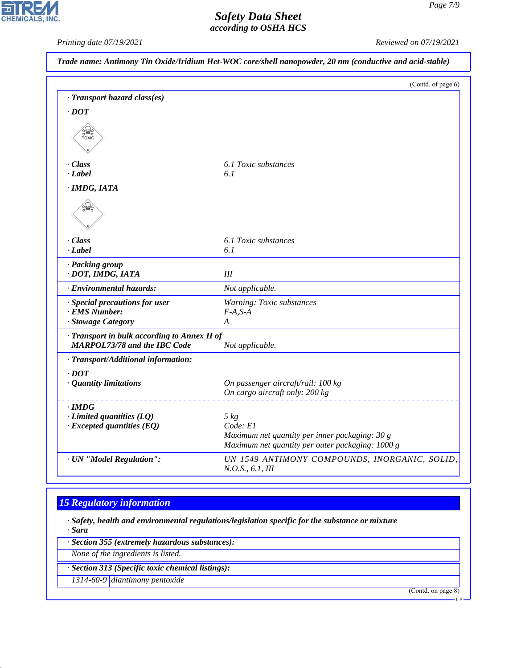CHEMICALS, INC.

*Printing date 07/19/2021 Reviewed on 07/19/2021*

|                                                                                   | (Contd. of page 6)                                                |
|-----------------------------------------------------------------------------------|-------------------------------------------------------------------|
| · Transport hazard class(es)                                                      |                                                                   |
| $\cdot$ DOT                                                                       |                                                                   |
| SEEP<br>TOXIC                                                                     |                                                                   |
| · Class                                                                           | 6.1 Toxic substances                                              |
| $\cdot$ <i>Label</i>                                                              | 6.1                                                               |
| · IMDG, IATA                                                                      |                                                                   |
| ں ک                                                                               |                                                                   |
| · Class                                                                           | 6.1 Toxic substances                                              |
| $-Label$                                                                          | 6.1                                                               |
| · Packing group<br>· DOT, IMDG, IATA                                              | III                                                               |
| · Environmental hazards:                                                          | Not applicable.                                                   |
| · Special precautions for user                                                    | Warning: Toxic substances                                         |
| · EMS Number:                                                                     | $F-A.S-A$                                                         |
| · Stowage Category                                                                | A                                                                 |
| Transport in bulk according to Annex II of<br><b>MARPOL73/78 and the IBC Code</b> | Not applicable.                                                   |
| · Transport/Additional information:                                               |                                                                   |
| $\cdot$ DOT                                                                       |                                                                   |
| · Quantity limitations                                                            | On passenger aircraft/rail: 100 kg                                |
|                                                                                   | On cargo aircraft only: 200 kg                                    |
| $\cdot$ IMDG                                                                      |                                                                   |
| $\cdot$ Limited quantities (LQ)                                                   | $5 \ kg$                                                          |
| $\cdot$ Excepted quantities (EQ)                                                  | Code: E1                                                          |
|                                                                                   | Maximum net quantity per inner packaging: 30 g                    |
|                                                                                   | Maximum net quantity per outer packaging: 1000 g                  |
| · UN "Model Regulation":                                                          | UN 1549 ANTIMONY COMPOUNDS, INORGANIC, SOLID,<br>N.O.S., 6.1, III |

# *15 Regulatory information*

*· Safety, health and environmental regulations/legislation specific for the substance or mixture · Sara*

*· Section 355 (extremely hazardous substances):*

*None of the ingredients is listed.*

44.1.1

*· Section 313 (Specific toxic chemical listings):*

*1314-60-9 diantimony pentoxide*

(Contd. on page 8)

US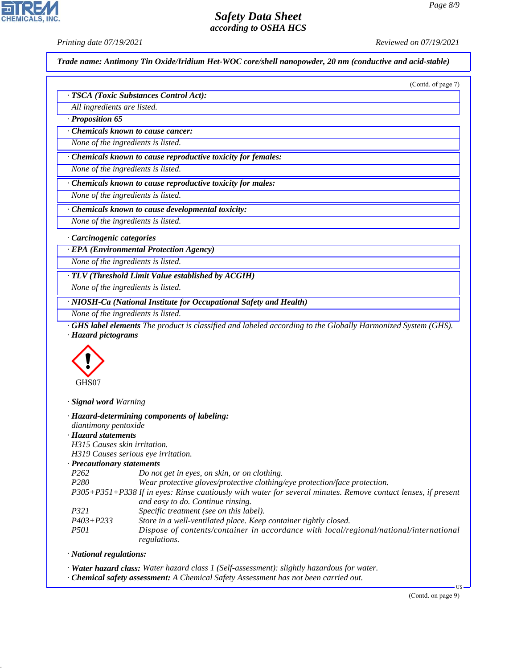*Printing date 07/19/2021 Reviewed on 07/19/2021*

**CHEMICALS, INC** 

*Trade name: Antimony Tin Oxide/Iridium Het-WOC core/shell nanopowder, 20 nm (conductive and acid-stable)*

|                                        | (Contd. of page 7) |
|----------------------------------------|--------------------|
| · TSCA (Toxic Substances Control Act): |                    |
| All ingredients are listed.            |                    |
| Proposition 65                         |                    |

*· Chemicals known to cause cancer:*

*None of the ingredients is listed.*

*· Chemicals known to cause reproductive toxicity for females:*

*None of the ingredients is listed.*

*· Chemicals known to cause reproductive toxicity for males:*

*None of the ingredients is listed.*

*· Chemicals known to cause developmental toxicity:*

*None of the ingredients is listed.*

*· Carcinogenic categories*

*· EPA (Environmental Protection Agency)*

*None of the ingredients is listed.*

*· TLV (Threshold Limit Value established by ACGIH)*

*None of the ingredients is listed.*

*· NIOSH-Ca (National Institute for Occupational Safety and Health)*

*None of the ingredients is listed.*

*· GHS label elements The product is classified and labeled according to the Globally Harmonized System (GHS). · Hazard pictograms*



*· Signal word Warning*

| diantimony pentoxide                | · Hazard-determining components of labeling:                                                                                                       |
|-------------------------------------|----------------------------------------------------------------------------------------------------------------------------------------------------|
| · Hazard statements                 |                                                                                                                                                    |
| H315 Causes skin irritation.        |                                                                                                                                                    |
| H319 Causes serious eye irritation. |                                                                                                                                                    |
| $\cdot$ Precautionary statements    |                                                                                                                                                    |
| P <sub>262</sub>                    | Do not get in eyes, on skin, or on clothing.                                                                                                       |
| P <sub>280</sub>                    | Wear protective gloves/protective clothing/eye protection/face protection.                                                                         |
|                                     | P305+P351+P338 If in eyes: Rinse cautiously with water for several minutes. Remove contact lenses, if present<br>and easy to do. Continue rinsing. |
| P321                                | Specific treatment (see on this label).                                                                                                            |
| $P403 + P233$                       | Store in a well-ventilated place. Keep container tightly closed.                                                                                   |
| <i>P501</i>                         | Dispose of contents/container in accordance with local/regional/national/international<br>regulations.                                             |

*· National regulations:*

44.1.1

*· Water hazard class: Water hazard class 1 (Self-assessment): slightly hazardous for water.*

*· Chemical safety assessment: A Chemical Safety Assessment has not been carried out.*

(Contd. on page 9)

US